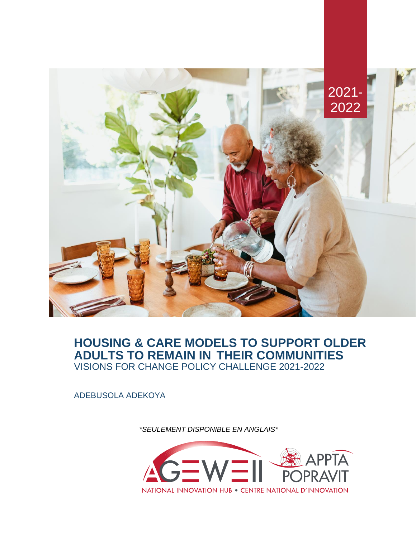

# **HOUSING & CARE MODELS TO SUPPORT OLDER ADULTS TO REMAIN IN THEIR COMMUNITIES** VISIONS FOR CHANGE POLICY CHALLENGE 2021-2022

ADEBUSOLA ADEKOYA

*\*SEULEMENT DISPONIBLE EN ANGLAIS\**

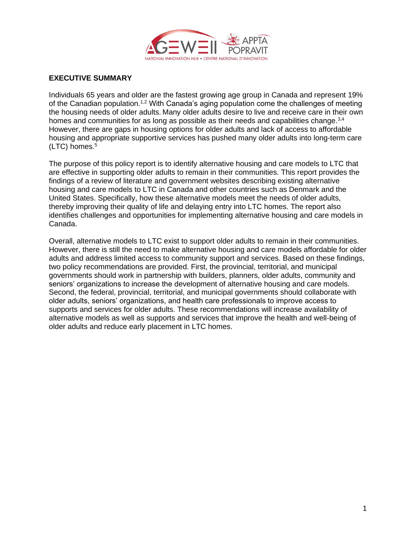

#### **EXECUTIVE SUMMARY**

Individuals 65 years and older are the fastest growing age group in Canada and represent 19% of the Canadian population.<sup>1,2</sup> With Canada's aging population come the challenges of meeting the housing needs of older adults. Many older adults desire to live and receive care in their own homes and communities for as long as possible as their needs and capabilities change.<sup>3,4</sup> However, there are gaps in housing options for older adults and lack of access to affordable housing and appropriate supportive services has pushed many older adults into long-term care (LTC) homes. $5$ 

The purpose of this policy report is to identify alternative housing and care models to LTC that are effective in supporting older adults to remain in their communities. This report provides the findings of a review of literature and government websites describing existing alternative housing and care models to LTC in Canada and other countries such as Denmark and the United States. Specifically, how these alternative models meet the needs of older adults, thereby improving their quality of life and delaying entry into LTC homes. The report also identifies challenges and opportunities for implementing alternative housing and care models in Canada.

Overall, alternative models to LTC exist to support older adults to remain in their communities. However, there is still the need to make alternative housing and care models affordable for older adults and address limited access to community support and services. Based on these findings, two policy recommendations are provided. First, the provincial, territorial, and municipal governments should work in partnership with builders, planners, older adults, community and seniors' organizations to increase the development of alternative housing and care models. Second, the federal, provincial, territorial, and municipal governments should collaborate with older adults, seniors' organizations, and health care professionals to improve access to supports and services for older adults. These recommendations will increase availability of alternative models as well as supports and services that improve the health and well-being of older adults and reduce early placement in LTC homes.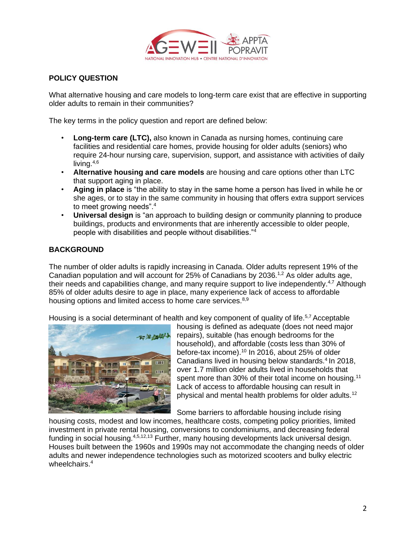

## **POLICY QUESTION**

What alternative housing and care models to long-term care exist that are effective in supporting older adults to remain in their communities?

The key terms in the policy question and report are defined below:

- **Long-term care (LTC),** also known in Canada as nursing homes, continuing care facilities and residential care homes, provide housing for older adults (seniors) who require 24-hour nursing care, supervision, support, and assistance with activities of daily living. $4,6$
- **Alternative housing and care models** are housing and care options other than LTC that support aging in place.
- **Aging in place** is "the ability to stay in the same home a person has lived in while he or she ages, or to stay in the same community in housing that offers extra support services to meet growing needs".<sup>4</sup>
- **Universal design** is "an approach to building design or community planning to produce buildings, products and environments that are inherently accessible to older people, people with disabilities and people without disabilities."<sup>4</sup>

## **BACKGROUND**

The number of older adults is rapidly increasing in Canada. Older adults represent 19% of the Canadian population and will account for 25% of Canadians by 2036.<sup>1,2</sup> As older adults age, their needs and capabilities change, and many require support to live independently.<sup>4,7</sup> Although 85% of older adults desire to age in place, many experience lack of access to affordable housing options and limited access to home care services.<sup>8,9</sup>

Housing is a social determinant of health and key component of quality of life.<sup>5,7</sup> Acceptable



housing is defined as adequate (does not need major repairs), suitable (has enough bedrooms for the household), and affordable (costs less than 30% of before-tax income).<sup>10</sup> In 2016, about 25% of older Canadians lived in housing below standards.<sup>4</sup> In 2018, over 1.7 million older adults lived in households that spent more than 30% of their total income on housing.<sup>11</sup> Lack of access to affordable housing can result in physical and mental health problems for older adults.<sup>12</sup>

Some barriers to affordable housing include rising

housing costs, modest and low incomes, healthcare costs, competing policy priorities, limited investment in private rental housing, conversions to condominiums, and decreasing federal funding in social housing.<sup>4,5,12,13</sup> Further, many housing developments lack universal design. Houses built between the 1960s and 1990s may not accommodate the changing needs of older adults and newer independence technologies such as motorized scooters and bulky electric wheelchairs.<sup>4</sup>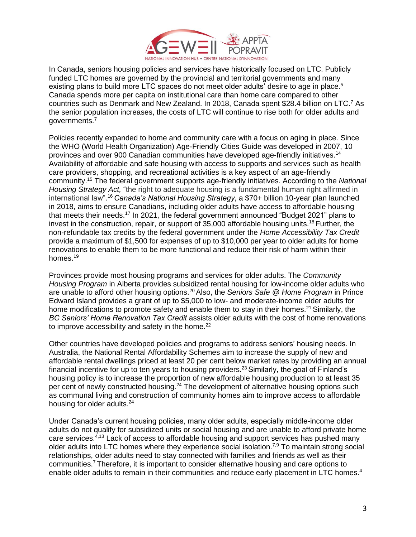

In Canada, seniors housing policies and services have historically focused on LTC. Publicly funded LTC homes are governed by the provincial and territorial governments and many existing plans to build more LTC spaces do not meet older adults' desire to age in place.<sup>5</sup> Canada spends more per capita on institutional care than home care compared to other countries such as Denmark and New Zealand. In 2018, Canada spent \$28.4 billion on LTC.<sup>7</sup> As the senior population increases, the costs of LTC will continue to rise both for older adults and governments.<sup>7</sup>

Policies recently expanded to home and community care with a focus on aging in place. Since the WHO (World Health Organization) Age-Friendly Cities Guide was developed in 2007, 10 provinces and over 900 Canadian communities have developed age-friendly initiatives.<sup>14</sup> Availability of affordable and safe housing with access to supports and services such as health care providers, shopping, and recreational activities is a key aspect of an age-friendly community.<sup>15</sup> The federal government supports age-friendly initiatives. According to the *National Housing Strategy Act,* "the right to adequate housing is a fundamental human right affirmed in international law". <sup>16</sup>*Canada's National Housing Strategy*, a \$70+ billion 10-year plan launched in 2018, aims to ensure Canadians, including older adults have access to affordable housing that meets their needs.<sup>17</sup> In 2021, the federal government announced "Budget 2021" plans to invest in the construction, repair, or support of 35,000 affordable housing units.<sup>18</sup> Further, the non-refundable tax credits by the federal government under the *Home Accessibility Tax Credit* provide a maximum of \$1,500 for expenses of up to \$10,000 per year to older adults for home renovations to enable them to be more functional and reduce their risk of harm within their homes.<sup>19</sup>

Provinces provide most housing programs and services for older adults. The *Community Housing Program* in Alberta provides subsidized rental housing for low-income older adults who are unable to afford other housing options.<sup>20</sup>Also, the *Seniors Safe @ Home Program* in Prince Edward Island provides a grant of up to \$5,000 to low- and moderate-income older adults for home modifications to promote safety and enable them to stay in their homes.<sup>21</sup> Similarly, the *BC Seniors' Home Renovation Tax Credit* assists older adults with the cost of home renovations to improve accessibility and safety in the home. $^{22}$ 

Other countries have developed policies and programs to address seniors' housing needs. In Australia, the National Rental Affordability Schemes aim to increase the supply of new and affordable rental dwellings priced at least 20 per cent below market rates by providing an annual financial incentive for up to ten years to housing providers.<sup>23</sup> Similarly, the goal of Finland's housing policy is to increase the proportion of new affordable housing production to at least 35 per cent of newly constructed housing.<sup>24</sup> The development of alternative housing options such as communal living and construction of community homes aim to improve access to affordable housing for older adults.<sup>24</sup>

Under Canada's current housing policies, many older adults, especially middle-income older adults do not qualify for subsidized units or social housing and are unable to afford private home care services.4,13 Lack of access to affordable housing and support services has pushed many older adults into LTC homes where they experience social isolation.<sup>7,9</sup> To maintain strong social relationships, older adults need to stay connected with families and friends as well as their communities.<sup>7</sup>Therefore, it is important to consider alternative housing and care options to enable older adults to remain in their communities and reduce early placement in LTC homes.<sup>4</sup>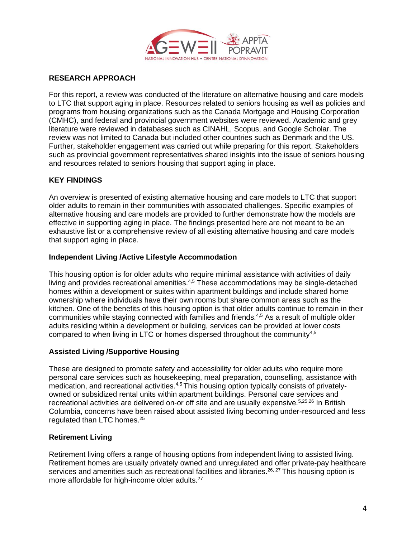

## **RESEARCH APPROACH**

For this report, a review was conducted of the literature on alternative housing and care models to LTC that support aging in place. Resources related to seniors housing as well as policies and programs from housing organizations such as the Canada Mortgage and Housing Corporation (CMHC), and federal and provincial government websites were reviewed. Academic and grey literature were reviewed in databases such as CINAHL, Scopus, and Google Scholar. The review was not limited to Canada but included other countries such as Denmark and the US. Further, stakeholder engagement was carried out while preparing for this report. Stakeholders such as provincial government representatives shared insights into the issue of seniors housing and resources related to seniors housing that support aging in place.

## **KEY FINDINGS**

An overview is presented of existing alternative housing and care models to LTC that support older adults to remain in their communities with associated challenges. Specific examples of alternative housing and care models are provided to further demonstrate how the models are effective in supporting aging in place. The findings presented here are not meant to be an exhaustive list or a comprehensive review of all existing alternative housing and care models that support aging in place.

#### **Independent Living /Active Lifestyle Accommodation**

This housing option is for older adults who require minimal assistance with activities of daily living and provides recreational amenities.4,5 These accommodations may be single-detached homes within a development or suites within apartment buildings and include shared home ownership where individuals have their own rooms but share common areas such as the kitchen. One of the benefits of this housing option is that older adults continue to remain in their communities while staying connected with families and friends.<sup>4,5</sup> As a result of multiple older adults residing within a development or building, services can be provided at lower costs compared to when living in LTC or homes dispersed throughout the community<sup>4,5</sup>

#### **Assisted Living /Supportive Housing**

These are designed to promote safety and accessibility for older adults who require more personal care services such as housekeeping, meal preparation, counselling, assistance with medication, and recreational activities.<sup>4,5</sup> This housing option typically consists of privatelyowned or subsidized rental units within apartment buildings. Personal care services and recreational activities are delivered on-or off site and are usually expensive.<sup>5,25,26</sup> In British Columbia, concerns have been raised about assisted living becoming under-resourced and less regulated than LTC homes.<sup>25</sup>

#### **Retirement Living**

Retirement living offers a range of housing options from independent living to assisted living. Retirement homes are usually privately owned and unregulated and offer private-pay healthcare services and amenities such as recreational facilities and libraries.<sup>26, 27</sup> This housing option is more affordable for high-income older adults.<sup>27</sup>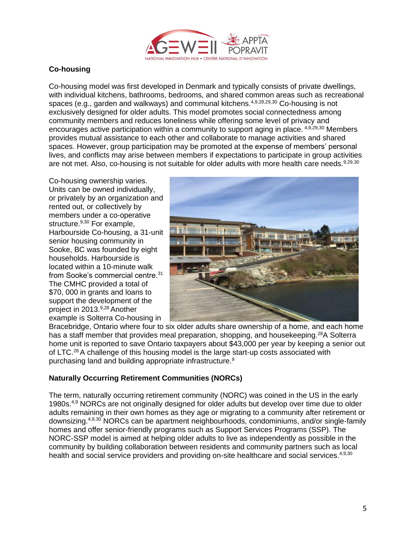

# **Co-housing**

Co-housing model was first developed in Denmark and typically consists of private dwellings, with individual kitchens, bathrooms, bedrooms, and shared common areas such as recreational spaces (e.g., garden and walkways) and communal kitchens.<sup>4,9,28,29,30</sup> Co-housing is not exclusively designed for older adults. This model promotes social connectedness among community members and reduces loneliness while offering some level of privacy and encourages active participation within a community to support aging in place. 4,9,29,30 Members provides mutual assistance to each other and collaborate to manage activities and shared spaces. However, group participation may be promoted at the expense of members' personal lives, and conflicts may arise between members if expectations to participate in group activities are not met. Also, co-housing is not suitable for older adults with more health care needs.<sup>9,29,30</sup>

Co-housing ownership varies. Units can be owned individually, or privately by an organization and rented out, or collectively by members under a co-operative structure.<sup>9,30</sup> For example, Harbourside Co-housing, a 31-unit senior housing community in Sooke, BC was founded by eight households. Harbourside is located within a 10-minute walk from Sooke's commercial centre.<sup>31</sup> The CMHC provided a total of \$70, 000 in grants and loans to support the development of the project in 2013.<sup>9,28</sup> Another example is Solterra Co-housing in



Bracebridge, Ontario where four to six older adults share ownership of a home, and each home has a staff member that provides meal preparation, shopping, and housekeeping.<sup>28</sup>A Solterra home unit is reported to save Ontario taxpayers about \$43,000 per year by keeping a senior out of LTC.<sup>28</sup> A challenge of this housing model is the large start-up costs associated with purchasing land and building appropriate infrastructure.<sup>9</sup>

# **Naturally Occurring Retirement Communities (NORCs)**

The term, naturally occurring retirement community (NORC) was coined in the US in the early 1980s.<sup>4,9</sup> NORCs are not originally designed for older adults but develop over time due to older adults remaining in their own homes as they age or migrating to a community after retirement or downsizing.<sup>4,9,30</sup> NORCs can be apartment neighbourhoods, condominiums, and/or single-family homes and offer senior-friendly programs such as Support Services Programs (SSP). The NORC-SSP model is aimed at helping older adults to live as independently as possible in the community by building collaboration between residents and community partners such as local health and social service providers and providing on-site healthcare and social services.<sup>4,9,30</sup>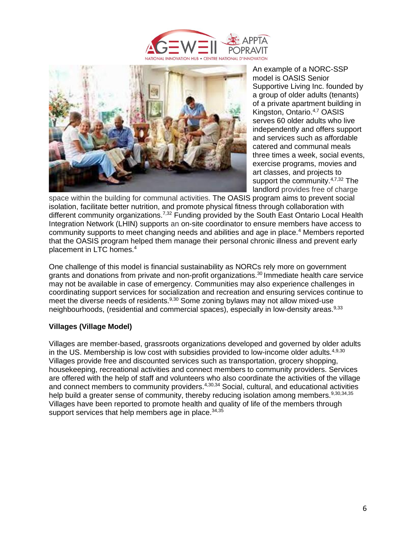



An example of a NORC-SSP model is OASIS Senior Supportive Living Inc. founded by a group of older adults (tenants) of a private apartment building in Kingston, Ontario.4,7 OASIS serves 60 older adults who live independently and offers support and services such as affordable catered and communal meals three times a week, social events, exercise programs, movies and art classes, and projects to support the community.<sup>4,7,32</sup> The landlord provides free of charge

space within the building for communal activities. The OASIS program aims to prevent social isolation, facilitate better nutrition, and promote physical fitness through collaboration with different community organizations.<sup>7,32</sup> Funding provided by the South East Ontario Local Health Integration Network (LHIN) supports an on-site coordinator to ensure members have access to community supports to meet changing needs and abilities and age in place.<sup>4</sup> Members reported that the OASIS program helped them manage their personal chronic illness and prevent early placement in LTC homes.<sup>4</sup>

One challenge of this model is financial sustainability as NORCs rely more on government grants and donations from private and non-profit organizations.<sup>30</sup>Immediate health care service may not be available in case of emergency. Communities may also experience challenges in coordinating support services for socialization and recreation and ensuring services continue to meet the diverse needs of residents.<sup>9,30</sup> Some zoning bylaws may not allow mixed-use neighbourhoods, (residential and commercial spaces), especially in low-density areas.<sup>9,33</sup>

#### **Villages (Village Model)**

Villages are member-based, grassroots organizations developed and governed by older adults in the US. Membership is low cost with subsidies provided to low-income older adults.<sup>4,9,30</sup> Villages provide free and discounted services such as transportation, grocery shopping, housekeeping, recreational activities and connect members to community providers. Services are offered with the help of staff and volunteers who also coordinate the activities of the village and connect members to community providers.<sup>4,30,34</sup> Social, cultural, and educational activities help build a greater sense of community, thereby reducing isolation among members.<sup>9,30,34,35</sup> Villages have been reported to promote health and quality of life of the members through support services that help members age in place.  $34,35$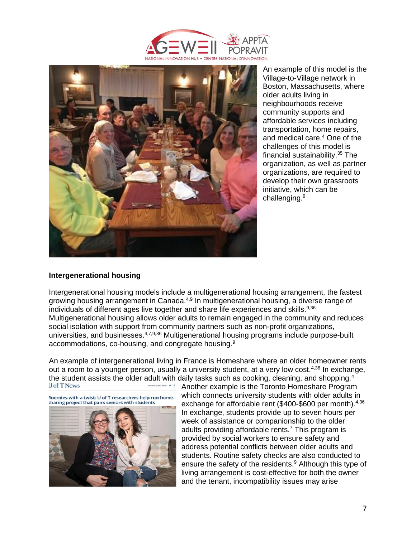



An example of this model is the Village-to-Village network in Boston, Massachusetts, where older adults living in neighbourhoods receive community supports and affordable services including transportation, home repairs, and medical care.<sup>4</sup> One of the challenges of this model is financial sustainability.<sup>35</sup> The organization, as well as partner organizations, are required to develop their own grassroots initiative, which can be challenging.<sup>9</sup>

#### **Intergenerational housing**

Intergenerational housing models include a multigenerational housing arrangement, the fastest growing housing arrangement in Canada.<sup>4,9</sup> In multigenerational housing, a diverse range of individuals of different ages live together and share life experiences and skills.<sup>9,36</sup> Multigenerational housing allows older adults to remain engaged in the community and reduces social isolation with support from community partners such as non-profit organizations, universities, and businesses.<sup>4,7,9,36</sup> Multigenerational housing programs include purpose-built accommodations, co-housing, and congregate housing.<sup>9</sup>

An example of intergenerational living in France is Homeshare where an older homeowner rents out a room to a younger person, usually a university student, at a very low cost.<sup>4,36</sup> In exchange, the student assists the older adult with daily tasks such as cooking, cleaning, and shopping.<sup>4</sup><br>Upf TNews Reporter to the Toronto Homeshare Program



Another example is the Toronto Homeshare Program which connects university students with older adults in exchange for affordable rent (\$400-\$600 per month).<sup>4,36</sup> In exchange, students provide up to seven hours per week of assistance or companionship to the older adults providing affordable rents.<sup>7</sup> This program is provided by social workers to ensure safety and address potential conflicts between older adults and students. Routine safety checks are also conducted to ensure the safety of the residents.<sup>9</sup> Although this type of living arrangement is cost-effective for both the owner and the tenant, incompatibility issues may arise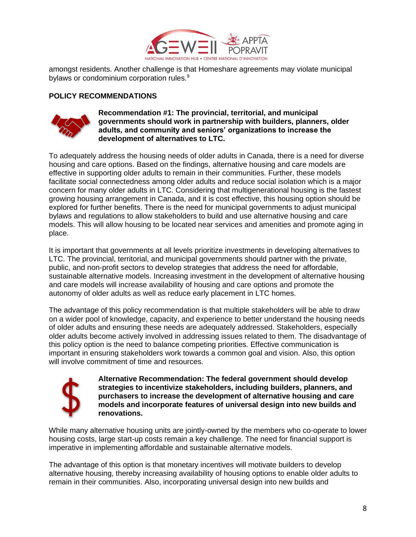

amongst residents. Another challenge is that Homeshare agreements may violate municipal bylaws or condominium corporation rules.<sup>9</sup>

## **POLICY RECOMMENDATIONS**



**Recommendation #1: The provincial, territorial, and municipal governments should work in partnership with builders, planners, older adults, and community and seniors' organizations to increase the development of alternatives to LTC.**

To adequately address the housing needs of older adults in Canada, there is a need for diverse housing and care options. Based on the findings, alternative housing and care models are effective in supporting older adults to remain in their communities. Further, these models facilitate social connectedness among older adults and reduce social isolation which is a major concern for many older adults in LTC. Considering that multigenerational housing is the fastest growing housing arrangement in Canada, and it is cost effective, this housing option should be explored for further benefits. There is the need for municipal governments to adjust municipal bylaws and regulations to allow stakeholders to build and use alternative housing and care models. This will allow housing to be located near services and amenities and promote aging in place.

It is important that governments at all levels prioritize investments in developing alternatives to LTC. The provincial, territorial, and municipal governments should partner with the private, public, and non-profit sectors to develop strategies that address the need for affordable, sustainable alternative models. Increasing investment in the development of alternative housing and care models will increase availability of housing and care options and promote the autonomy of older adults as well as reduce early placement in LTC homes.

The advantage of this policy recommendation is that multiple stakeholders will be able to draw on a wider pool of knowledge, capacity, and experience to better understand the housing needs of older adults and ensuring these needs are adequately addressed. Stakeholders, especially older adults become actively involved in addressing issues related to them. The disadvantage of this policy option is the need to balance competing priorities. Effective communication is important in ensuring stakeholders work towards a common goal and vision. Also, this option will involve commitment of time and resources.



**Alternative Recommendation: The federal government should develop strategies to incentivize stakeholders, including builders, planners, and purchasers to increase the development of alternative housing and care models and incorporate features of universal design into new builds and renovations.**

While many alternative housing units are jointly-owned by the members who co-operate to lower housing costs, large start-up costs remain a key challenge. The need for financial support is imperative in implementing affordable and sustainable alternative models.

The advantage of this option is that monetary incentives will motivate builders to develop alternative housing, thereby increasing availability of housing options to enable older adults to remain in their communities. Also, incorporating universal design into new builds and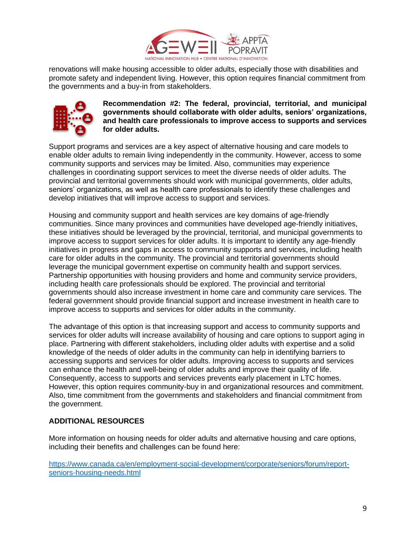

renovations will make housing accessible to older adults, especially those with disabilities and promote safety and independent living. However, this option requires financial commitment from the governments and a buy-in from stakeholders.



**Recommendation #2: The federal, provincial, territorial, and municipal governments should collaborate with older adults, seniors' organizations, and health care professionals to improve access to supports and services for older adults.**

Support programs and services are a key aspect of alternative housing and care models to enable older adults to remain living independently in the community. However, access to some community supports and services may be limited. Also, communities may experience challenges in coordinating support services to meet the diverse needs of older adults. The provincial and territorial governments should work with municipal governments, older adults, seniors' organizations, as well as health care professionals to identify these challenges and develop initiatives that will improve access to support and services.

Housing and community support and health services are key domains of age-friendly communities. Since many provinces and communities have developed age-friendly initiatives, these initiatives should be leveraged by the provincial, territorial, and municipal governments to improve access to support services for older adults. It is important to identify any age-friendly initiatives in progress and gaps in access to community supports and services, including health care for older adults in the community. The provincial and territorial governments should leverage the municipal government expertise on community health and support services. Partnership opportunities with housing providers and home and community service providers, including health care professionals should be explored. The provincial and territorial governments should also increase investment in home care and community care services. The federal government should provide financial support and increase investment in health care to improve access to supports and services for older adults in the community.

The advantage of this option is that increasing support and access to community supports and services for older adults will increase availability of housing and care options to support aging in place. Partnering with different stakeholders, including older adults with expertise and a solid knowledge of the needs of older adults in the community can help in identifying barriers to accessing supports and services for older adults. Improving access to supports and services can enhance the health and well-being of older adults and improve their quality of life. Consequently, access to supports and services prevents early placement in LTC homes. However, this option requires community-buy in and organizational resources and commitment. Also, time commitment from the governments and stakeholders and financial commitment from the government.

# **ADDITIONAL RESOURCES**

More information on housing needs for older adults and alternative housing and care options, including their benefits and challenges can be found here:

[https://www.canada.ca/en/employment-social-development/corporate/seniors/forum/report](https://www.canada.ca/en/employment-social-development/corporate/seniors/forum/report-seniors-housing-needs.html)[seniors-housing-needs.html](https://www.canada.ca/en/employment-social-development/corporate/seniors/forum/report-seniors-housing-needs.html)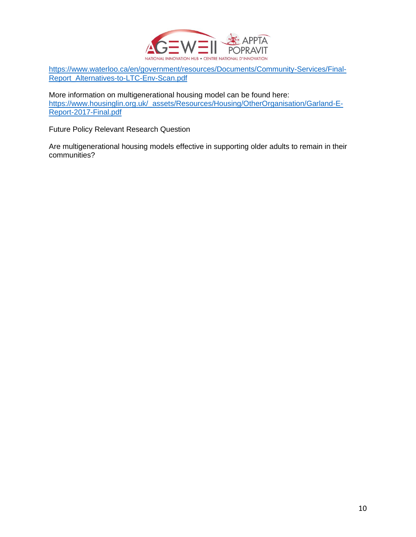

[https://www.waterloo](https://www.waterloo/)[.ca/en/government/resources/Documents/Community-Services/Final-](https://www.waterloo.ca/en/government/resources/Documents/Community-Services/Final-Report_Alternatives-to-LTC-Env-Scan.pdf)[Report\\_Alternatives-to-LTC-Env-Scan.pdf](https://www.waterloo.ca/en/government/resources/Documents/Community-Services/Final-Report_Alternatives-to-LTC-Env-Scan.pdf)

More information on multigenerational housing model can be found here: [https://www.housinglin.org.uk/\\_assets/Resources/Housing/OtherOrganisation/Garland-E-](https://www.housinglin.org.uk/_assets/Resources/Housing/OtherOrganisation/Garland-E-Report-2017-Final.pdf)[Report-2017-Final.pdf](https://www.housinglin.org.uk/_assets/Resources/Housing/OtherOrganisation/Garland-E-Report-2017-Final.pdf)

Future Policy Relevant Research Question

Are multigenerational housing models effective in supporting older adults to remain in their communities?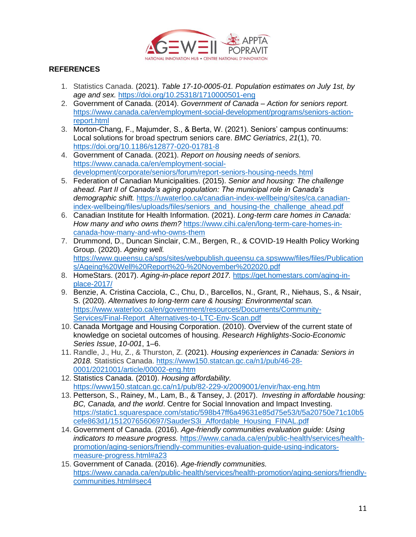

# **REFERENCES**

- 1. Statistics Canada. (2021). *Table 17-10-0005-01. Population estimates on July 1st, by age and sex.* <https://doi.org/10.25318/1710000501-eng>
- 2. Government of Canada. (2014). *Government of Canada Action for seniors report.* [https://www.canada.ca/en/employment-social-development/programs/seniors-action](https://www.canada.ca/en/employment-social-development/programs/seniors-action-report.html)[report.html](https://www.canada.ca/en/employment-social-development/programs/seniors-action-report.html)
- 3. Morton-Chang, F., Majumder, S., & Berta, W. (2021). Seniors' campus continuums: Local solutions for broad spectrum seniors care. *BMC Geriatrics*, *21*(1), 70. <https://doi.org/10.1186/s12877-020-01781-8>
- 4. Government of Canada. (2021). *Report on housing needs of seniors.* [https://www.canada.ca/en/employment-social](https://www.canada.ca/en/employment-social-development/corporate/seniors/forum/report-seniors-housing-needs.html)[development/corporate/seniors/forum/report-seniors-housing-needs.html](https://www.canada.ca/en/employment-social-development/corporate/seniors/forum/report-seniors-housing-needs.html)
- 5. Federation of Canadian Municipalities. (2015). *Senior and housing: The challenge ahead. Part II of Canada's aging population: The municipal role in Canada's demographic shift.* [https://uwaterloo.ca/canadian-index-wellbeing/sites/ca.canadian](https://uwaterloo.ca/canadian-index-wellbeing/sites/ca.canadian-index-wellbeing/files/uploads/files/seniors_and_housing-the_challenge_ahead.pdf)[index-wellbeing/files/uploads/files/seniors\\_and\\_housing-the\\_challenge\\_ahead.pdf](https://uwaterloo.ca/canadian-index-wellbeing/sites/ca.canadian-index-wellbeing/files/uploads/files/seniors_and_housing-the_challenge_ahead.pdf)
- 6. Canadian Institute for Health Information. (2021). *Long-term care homes in Canada: How many and who owns them?* [https://www.cihi.ca/en/long-term-care-homes-in](https://www.cihi.ca/en/long-term-care-homes-in-canada-how-many-and-who-owns-them)[canada-how-many-and-who-owns-them](https://www.cihi.ca/en/long-term-care-homes-in-canada-how-many-and-who-owns-them)
- 7. Drummond, D., Duncan Sinclair, C.M., Bergen, R., & COVID-19 Health Policy Working Group. (2020). *Ageing well.* [https://www.queensu.ca/sps/sites/webpublish.queensu.ca.spswww/files/files/Publication](https://www.queensu.ca/sps/sites/webpublish.queensu.ca.spswww/files/files/Publications/Ageing%20Well%20Report%20-%20November%202020.pdf) [s/Ageing%20Well%20Report%20-%20November%202020.pdf](https://www.queensu.ca/sps/sites/webpublish.queensu.ca.spswww/files/files/Publications/Ageing%20Well%20Report%20-%20November%202020.pdf)
- 8. HomeStars. (2017). *Aging-in-place report 2017.* [https://get.homestars.com/aging-in](https://get.homestars.com/aging-in-place-2017/)[place-2017/](https://get.homestars.com/aging-in-place-2017/)
- 9. Benzie, A. Cristina Cacciola, C., Chu, D., Barcellos, N., Grant, R., Niehaus, S., & Nsair, S. (2020). *Alternatives to long-term care & housing: Environmental scan.* [https://www.waterloo.ca/en/government/resources/Documents/Community-](https://www.waterloo.ca/en/government/resources/Documents/Community-Services/Final-Report_Alternatives-to-LTC-Env-Scan.pdf)[Services/Final-Report\\_Alternatives-to-LTC-Env-Scan.pdf](https://www.waterloo.ca/en/government/resources/Documents/Community-Services/Final-Report_Alternatives-to-LTC-Env-Scan.pdf)
- 10. Canada Mortgage and Housing Corporation. (2010). Overview of the current state of knowledge on societal outcomes of housing. *Research Highlights-Socio-Economic Series Issue*, *10-001*, 1–6.
- 11. Randle, J., Hu, Z., & Thurston, Z. (2021). *Housing experiences in Canada: Seniors in 2018.* Statistics Canada. [https://www150.statcan.gc.ca/n1/pub/46-28-](https://www150.statcan.gc.ca/n1/pub/46-28-0001/2021001/article/00002-eng.htm) [0001/2021001/article/00002-eng.htm](https://www150.statcan.gc.ca/n1/pub/46-28-0001/2021001/article/00002-eng.htm)
- 12. Statistics Canada. (2010). *Housing affordability.*  <https://www150.statcan.gc.ca/n1/pub/82-229-x/2009001/envir/hax-eng.htm>
- 13. Petterson, S., Rainey, M., Lam, B., & Tansey, J. (2017). *Investing in affordable housing: BC, Canada, and the world*. Centre for Social Innovation and Impact Investing. [https://static1.squarespace.com/static/598b47ff6a49631e85d75e53/t/5a20750e71c10b5](https://static1.squarespace.com/static/598b47ff6a49631e85d75e53/t/5a20750e71c10b5cefe863d1/1512076560697/SauderS3i_Affordable_Housing_FINAL.pdf) [cefe863d1/1512076560697/SauderS3i\\_Affordable\\_Housing\\_FINAL.pdf](https://static1.squarespace.com/static/598b47ff6a49631e85d75e53/t/5a20750e71c10b5cefe863d1/1512076560697/SauderS3i_Affordable_Housing_FINAL.pdf)
- 14. Government of Canada. (2016). *Age-friendly communities evaluation guide: Using indicators to measure progress.* [https://www.canada.ca/en/public-health/services/health](https://www.canada.ca/en/public-health/services/health-promotion/aging-seniors/friendly-communities-evaluation-guide-using-indicators-measure-progress.html)[promotion/aging-seniors/friendly-communities-evaluation-guide-using-indicators](https://www.canada.ca/en/public-health/services/health-promotion/aging-seniors/friendly-communities-evaluation-guide-using-indicators-measure-progress.html)[measure-progress.html#a23](https://www.canada.ca/en/public-health/services/health-promotion/aging-seniors/friendly-communities-evaluation-guide-using-indicators-measure-progress.html)
- 15. Government of Canada. (2016). *Age-friendly communities.* [https://www.canada.ca/en/public-health/services/health-promotion/aging-seniors/friendly](https://www.canada.ca/en/public-health/services/health-promotion/aging-seniors/friendly-communities.html#sec4)[communities.html#sec4](https://www.canada.ca/en/public-health/services/health-promotion/aging-seniors/friendly-communities.html#sec4)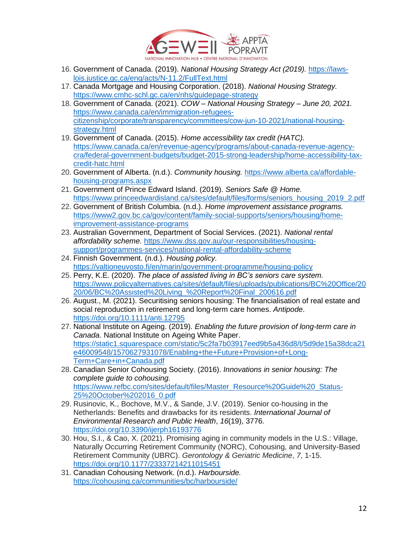

- 16. Government of Canada. (2019). *National Housing Strategy Act (2019).* [https://laws](https://laws-lois.justice.gc.ca/eng/acts/N-11.2/FullText.html)[lois.justice.gc.ca/eng/acts/N-11.2/FullText.html](https://laws-lois.justice.gc.ca/eng/acts/N-11.2/FullText.html)
- 17. Canada Mortgage and Housing Corporation. (2018). *National Housing Strategy.* <https://www.cmhc-schl.gc.ca/en/nhs/guidepage-strategy>
- 18. Government of Canada. (2021). *COW – National Housing Strategy – June 20, 2021.* [https://www.canada.ca/en/immigration-refugees](https://www.canada.ca/en/immigration-refugees-citizenship/corporate/transparency/committees/cow-jun-10-2021/national-housing-strategy.html)[citizenship/corporate/transparency/committees/cow-jun-10-2021/national-housing](https://www.canada.ca/en/immigration-refugees-citizenship/corporate/transparency/committees/cow-jun-10-2021/national-housing-strategy.html)[strategy.html](https://www.canada.ca/en/immigration-refugees-citizenship/corporate/transparency/committees/cow-jun-10-2021/national-housing-strategy.html)
- 19. Government of Canada. (2015). *Home accessibility tax credit (HATC).* [https://www.canada.ca/en/revenue-agency/programs/about-canada-revenue-agency](https://www.canada.ca/en/revenue-agency/programs/about-canada-revenue-agency-cra/federal-government-budgets/budget-2015-strong-leadership/home-accessibility-tax-credit-hatc.html)[cra/federal-government-budgets/budget-2015-strong-leadership/home-accessibility-tax](https://www.canada.ca/en/revenue-agency/programs/about-canada-revenue-agency-cra/federal-government-budgets/budget-2015-strong-leadership/home-accessibility-tax-credit-hatc.html)[credit-hatc.html](https://www.canada.ca/en/revenue-agency/programs/about-canada-revenue-agency-cra/federal-government-budgets/budget-2015-strong-leadership/home-accessibility-tax-credit-hatc.html)
- 20. Government of Alberta. (n.d.). *Community housing.* [https://www.alberta.ca/affordable](https://www.alberta.ca/affordable-housing-programs.aspx)[housing-programs.aspx](https://www.alberta.ca/affordable-housing-programs.aspx)
- 21. Government of Prince Edward Island. (2019). *Seniors Safe @ Home.* [https://www.princeedwardisland.ca/sites/default/files/forms/seniors\\_housing\\_2019\\_2.pdf](https://www.princeedwardisland.ca/sites/default/files/forms/seniors_housing_2019_2.pdf)
- 22. Government of British Columbia. (n.d.). *Home improvement assistance programs.* [https://www2.gov.bc.ca/gov/content/family-social-supports/seniors/housing/home](https://www2.gov.bc.ca/gov/content/family-social-supports/seniors/housing/home-improvement-assistance-programs)[improvement-assistance-programs](https://www2.gov.bc.ca/gov/content/family-social-supports/seniors/housing/home-improvement-assistance-programs)
- 23. Australian Government, Department of Social Services. (2021). *National rental affordability scheme.* [https://www.dss.gov.au/our-responsibilities/housing](https://www.dss.gov.au/our-responsibilities/housing-support/programmes-services/national-rental-affordability-scheme)[support/programmes-services/national-rental-affordability-scheme](https://www.dss.gov.au/our-responsibilities/housing-support/programmes-services/national-rental-affordability-scheme)
- 24. Finnish Government. (n.d.). *Housing policy.* <https://valtioneuvosto.fi/en/marin/government-programme/housing-policy>
- 25. Perry, K.E. (2020). *The place of assisted living in BC's seniors care system.* [https://www.policyalternatives.ca/sites/default/files/uploads/publications/BC%20Office/20](https://www.policyalternatives.ca/sites/default/files/uploads/publications/BC%20Office/2020/06/BC%20Assisted%20Living_%20Report%20Final_200616.pdf) [20/06/BC%20Assisted%20Living\\_%20Report%20Final\\_200616.pdf](https://www.policyalternatives.ca/sites/default/files/uploads/publications/BC%20Office/2020/06/BC%20Assisted%20Living_%20Report%20Final_200616.pdf)
- 26. August., M. (2021). Securitising seniors housing: The financialisation of real estate and social reproduction in retirement and long-term care homes. *Antipode*. <https://doi.org/10.1111/anti.12795>
- 27. National Institute on Ageing. (2019). *Enabling the future provision of long-term care in Canada.* National Institute on Ageing White Paper. [https://static1.squarespace.com/static/5c2fa7b03917eed9b5a436d8/t/5d9de15a38dca21](https://static1.squarespace.com/static/5c2fa7b03917eed9b5a436d8/t/5d9de15a38dca21e46009548/1570627931078/Enabling+the+Future+Provision+of+Long-Term+Care+in+Canada.pdf) [e46009548/1570627931078/Enabling+the+Future+Provision+of+Long-](https://static1.squarespace.com/static/5c2fa7b03917eed9b5a436d8/t/5d9de15a38dca21e46009548/1570627931078/Enabling+the+Future+Provision+of+Long-Term+Care+in+Canada.pdf)[Term+Care+in+Canada.pdf](https://static1.squarespace.com/static/5c2fa7b03917eed9b5a436d8/t/5d9de15a38dca21e46009548/1570627931078/Enabling+the+Future+Provision+of+Long-Term+Care+in+Canada.pdf)
- 28. Canadian Senior Cohousing Society. (2016). *Innovations in senior housing: The complete guide to cohousing.* [https://www.refbc.com/sites/default/files/Master\\_Resource%20Guide%20\\_Status-](https://www.refbc.com/sites/default/files/Master_Resource%20Guide%20_Status-25%20October%202016_0.pdf)[25%20October%202016\\_0.pdf](https://www.refbc.com/sites/default/files/Master_Resource%20Guide%20_Status-25%20October%202016_0.pdf)
- 29. Rusinovic, K., Bochove, M.V., & Sande, J.V. (2019). Senior co-housing in the Netherlands: Benefits and drawbacks for its residents. *International Journal of Environmental Research and Public Health*, *16*(19), 3776. <https://doi.org/10.3390/ijerph16193776>
- 30. Hou, S.I., & Cao, X. (2021). Promising aging in community models in the U.S.: Village, Naturally Occurring Retirement Community (NORC), Cohousing, and University-Based Retirement Community (UBRC). *Gerontology & Geriatric Medicine*, *7*, 1-15. <https://doi.org/10.1177/23337214211015451>
- 31. Canadian Cohousing Network. (n.d.). *Harbourside.* <https://cohousing.ca/communities/bc/harbourside/>